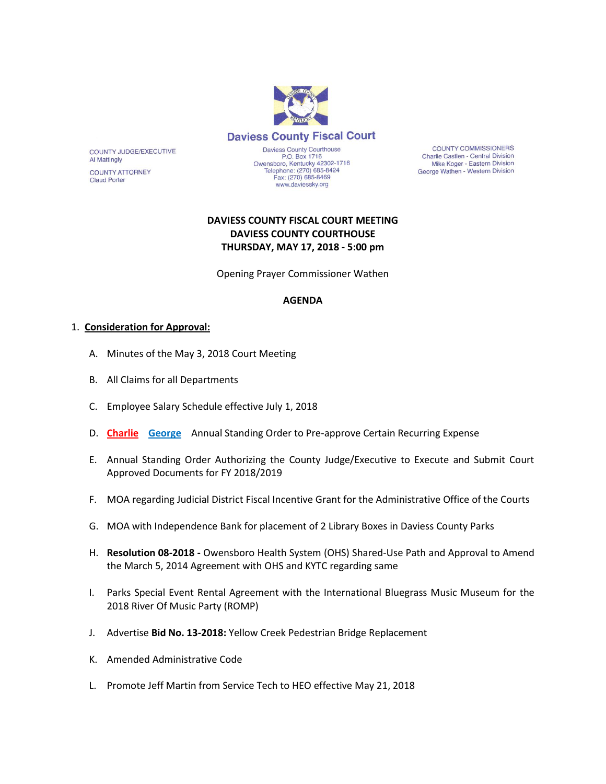

**COUNTY COMMISSIONERS** Charlie Castlen - Central Division Mike Koger - Eastern Division George Wathen - Western Division

# **DAVIESS COUNTY FISCAL COURT MEETING DAVIESS COUNTY COURTHOUSE THURSDAY, MAY 17, 2018 - 5:00 pm**

Opening Prayer Commissioner Wathen

#### **AGENDA**

#### 1. **Consideration for Approval:**

COUNTY JUDGE/EXECUTIVE

**COUNTY ATTORNEY** 

**Al Mattingly** 

**Claud Porter** 

- A. Minutes of the May 3, 2018 Court Meeting
- B. All Claims for all Departments
- C. Employee Salary Schedule effective July 1, 2018
- D. **Charlie George** Annual Standing Order to Pre-approve Certain Recurring Expense
- E. Annual Standing Order Authorizing the County Judge/Executive to Execute and Submit Court Approved Documents for FY 2018/2019
- F. MOA regarding Judicial District Fiscal Incentive Grant for the Administrative Office of the Courts
- G. MOA with Independence Bank for placement of 2 Library Boxes in Daviess County Parks
- H. **Resolution 08-2018 -** Owensboro Health System (OHS) Shared-Use Path and Approval to Amend the March 5, 2014 Agreement with OHS and KYTC regarding same
- I. Parks Special Event Rental Agreement with the International Bluegrass Music Museum for the 2018 River Of Music Party (ROMP)
- J. Advertise **Bid No. 13-2018:** Yellow Creek Pedestrian Bridge Replacement
- K. Amended Administrative Code
- L. Promote Jeff Martin from Service Tech to HEO effective May 21, 2018